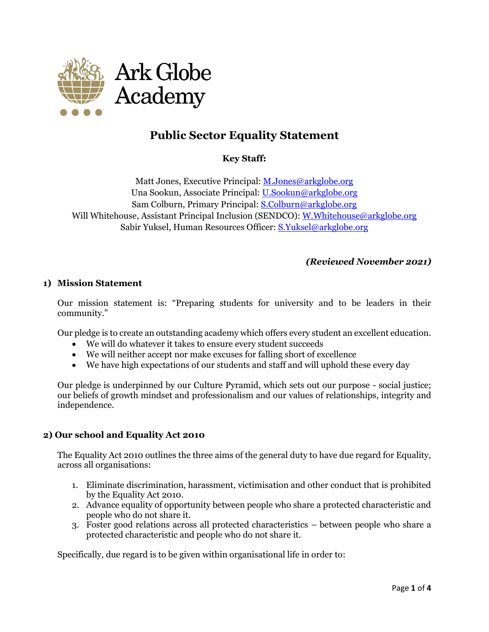

# **Public Sector Equality Statement**

## **Key Staff:**

Matt Jones, Executive Principal[: M.Jones@arkglobe.org](mailto:M.Jones@arkglobe.org) Una Sookun, Associate Principal: [U.Sookun@arkglobe.org](mailto:U.Sookun@arkglobe.org) Sam Colburn, Primary Principal: [S.Colburn@arkglobe.org](mailto:S.Colburn@arkglobe.org) Will Whitehouse, Assistant Principal Inclusion (SENDCO)[: W.Whitehouse@arkglobe.org](mailto:W.Whitehouse@arkglobe.org) Sabir Yuksel, Human Resources Officer: [S.Yuksel@arkglobe.org](mailto:S.Yuksel@arkglobe.org)

### *(Reviewed November 2021)*

#### **1) Mission Statement**

Our mission statement is: "Preparing students for university and to be leaders in their community."

Our pledge is to create an outstanding academy which offers every student an excellent education.

- We will do whatever it takes to ensure every student succeeds
- We will neither accept nor make excuses for falling short of excellence
- We have high expectations of our students and staff and will uphold these every day

Our pledge is underpinned by our Culture Pyramid, which sets out our purpose - social justice; our beliefs of growth mindset and professionalism and our values of relationships, integrity and independence.

### **2) Our school and Equality Act 2010**

The Equality Act 2010 outlines the three aims of the general duty to have due regard for Equality, across all organisations:

- 1. Eliminate discrimination, harassment, victimisation and other conduct that is prohibited by the Equality Act 2010.
- 2. Advance equality of opportunity between people who share a protected characteristic and people who do not share it.
- 3. Foster good relations across all protected characteristics between people who share a protected characteristic and people who do not share it.

Specifically, due regard is to be given within organisational life in order to: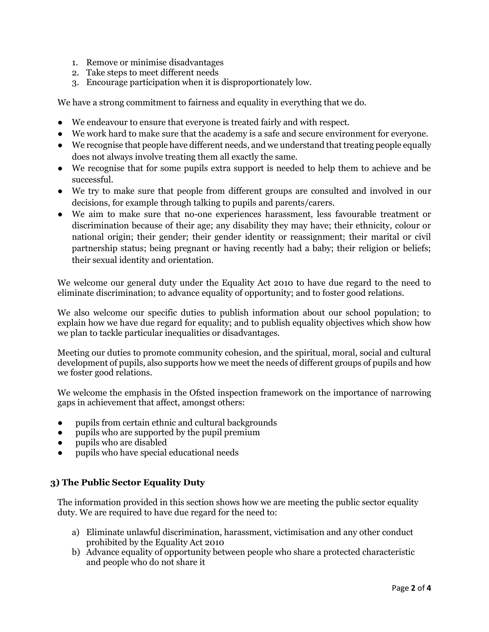- 1. Remove or minimise disadvantages
- 2. Take steps to meet different needs
- 3. Encourage participation when it is disproportionately low.

We have a strong commitment to fairness and equality in everything that we do.

- We endeavour to ensure that everyone is treated fairly and with respect.
- We work hard to make sure that the academy is a safe and secure environment for everyone.
- We recognise that people have different needs, and we understand that treating people equally does not always involve treating them all exactly the same.
- We recognise that for some pupils extra support is needed to help them to achieve and be successful.
- We try to make sure that people from different groups are consulted and involved in our decisions, for example through talking to pupils and parents/carers.
- We aim to make sure that no-one experiences harassment, less favourable treatment or discrimination because of their age; any disability they may have; their ethnicity, colour or national origin; their gender; their gender identity or reassignment; their marital or civil partnership status; being pregnant or having recently had a baby; their religion or beliefs; their sexual identity and orientation.

We welcome our general duty under the Equality Act 2010 to have due regard to the need to eliminate discrimination; to advance equality of opportunity; and to foster good relations.

We also welcome our specific duties to publish information about our school population; to explain how we have due regard for equality; and to publish equality objectives which show how we plan to tackle particular inequalities or disadvantages.

Meeting our duties to promote community cohesion, and the spiritual, moral, social and cultural development of pupils, also supports how we meet the needs of different groups of pupils and how we foster good relations.

We welcome the emphasis in the Ofsted inspection framework on the importance of narrowing gaps in achievement that affect, amongst others:

- pupils from certain ethnic and cultural backgrounds
- pupils who are supported by the pupil premium
- pupils who are disabled
- pupils who have special educational needs

### **3) The Public Sector Equality Duty**

The information provided in this section shows how we are meeting the public sector equality duty. We are required to have due regard for the need to:

- a) Eliminate unlawful discrimination, harassment, victimisation and any other conduct prohibited by the Equality Act 2010
- b) Advance equality of opportunity between people who share a protected characteristic and people who do not share it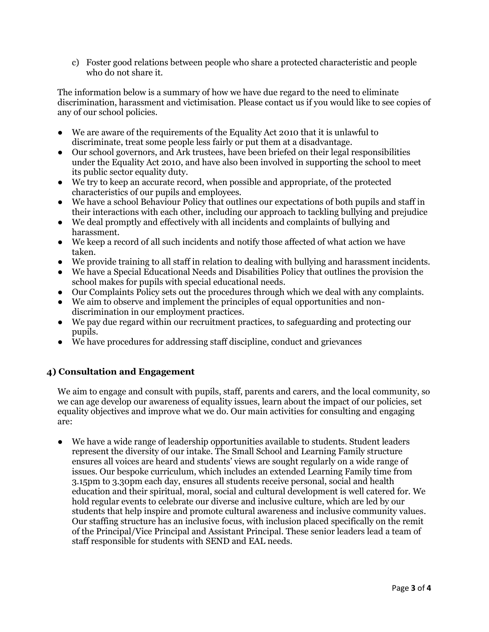c) Foster good relations between people who share a protected characteristic and people who do not share it.

The information below is a summary of how we have due regard to the need to eliminate discrimination, harassment and victimisation. Please contact us if you would like to see copies of any of our school policies.

- We are aware of the requirements of the Equality Act 2010 that it is unlawful to discriminate, treat some people less fairly or put them at a disadvantage.
- Our school governors, and Ark trustees, have been briefed on their legal responsibilities under the Equality Act 2010, and have also been involved in supporting the school to meet its public sector equality duty.
- We try to keep an accurate record, when possible and appropriate, of the protected characteristics of our pupils and employees.
- We have a school Behaviour Policy that outlines our expectations of both pupils and staff in their interactions with each other, including our approach to tackling bullying and prejudice
- We deal promptly and effectively with all incidents and complaints of bullying and harassment.
- We keep a record of all such incidents and notify those affected of what action we have taken.
- We provide training to all staff in relation to dealing with bullying and harassment incidents.
- We have a Special Educational Needs and Disabilities Policy that outlines the provision the school makes for pupils with special educational needs.
- Our Complaints Policy sets out the procedures through which we deal with any complaints.
- We aim to observe and implement the principles of equal opportunities and nondiscrimination in our employment practices.
- We pay due regard within our recruitment practices, to safeguarding and protecting our pupils.
- We have procedures for addressing staff discipline, conduct and grievances

## **4) Consultation and Engagement**

We aim to engage and consult with pupils, staff, parents and carers, and the local community, so we can age develop our awareness of equality issues, learn about the impact of our policies, set equality objectives and improve what we do. Our main activities for consulting and engaging are:

● We have a wide range of leadership opportunities available to students. Student leaders represent the diversity of our intake. The Small School and Learning Family structure ensures all voices are heard and students' views are sought regularly on a wide range of issues. Our bespoke curriculum, which includes an extended Learning Family time from 3.15pm to 3.30pm each day, ensures all students receive personal, social and health education and their spiritual, moral, social and cultural development is well catered for. We hold regular events to celebrate our diverse and inclusive culture, which are led by our students that help inspire and promote cultural awareness and inclusive community values. Our staffing structure has an inclusive focus, with inclusion placed specifically on the remit of the Principal/Vice Principal and Assistant Principal. These senior leaders lead a team of staff responsible for students with SEND and EAL needs.